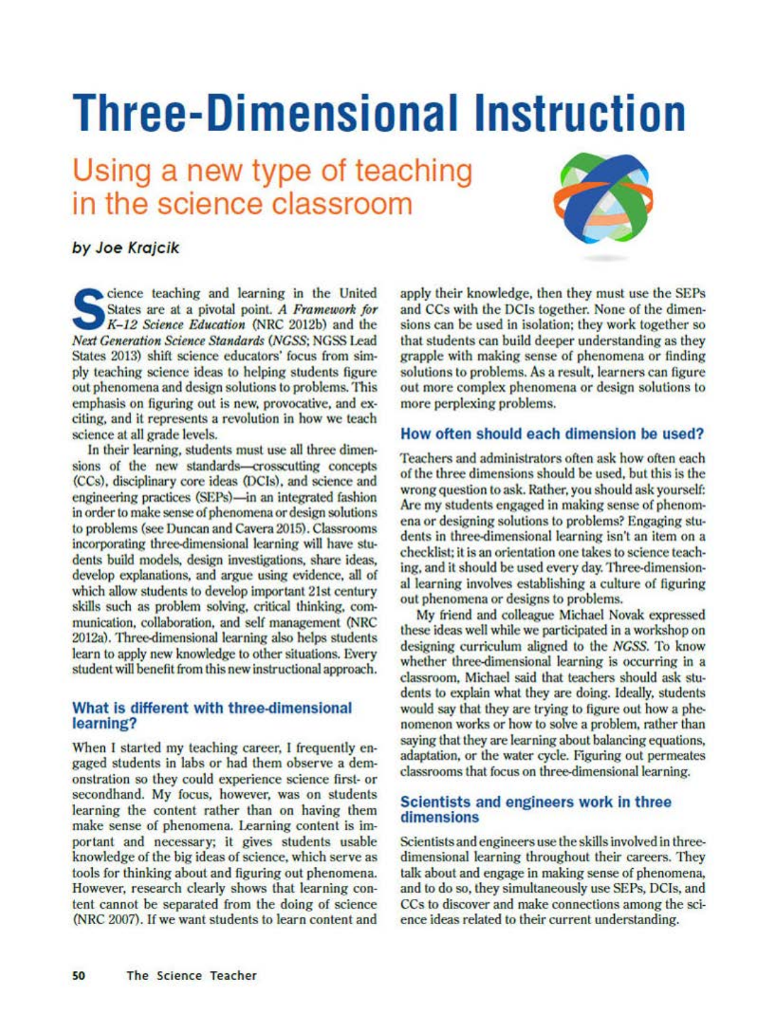# **Three-Dimensional Instruction**

## Using a new type of teaching in the science classroom



### by Joe Krajcik

Science teaching and learning in the United<br>States are at a pivotal point. A Framework for<br>K-12 Science Education (NRC 2012b) and the states are at a pivotal point. A Framework for K-12 Science Education (NRC 2012b) and the *Next Generation Science Standards (NCSS:* NGSS Lead States 2013) shift science educators' focus from simply teaching science ideas to helping students figure out phenomena and design solutions lo problems. This emphasis on figuring out is new, provocative, and exciting, and it represents a revolution in how we teach science at all grade levels.

In their learning, students must use all three dimensions of the new standards-crosscutting concepts (CCs). disciplinary core ideas (DCls). and science and engineering practices (SEPs)—in an integrated fashion in order to make sense of phenomena or design solutions to problems (see Duncan and Cavera 2015). Classrooms incorporating three-dimensional learning will have students build models, design investigations, share ideas. develop explanations, and argue using evidence. all of which allow students to develop important 21st century skills such as problem solving. critical thinking, communication, collaboration, and self management (NRC 2012a). Three-dimensional learning also helps students learn to apply new knowledge to other situations. Every student will benefit from this new instructional **approach.** 

#### **What is different with three-dimensional learning?**

When I started my teaching career, I frequently engaged students in labs or had them observe a demonslralion so they could experience science first- or secondhand. My focus, however, was on students learning the content rather than on having them make sense of phenomena. Learning content is impor tant and necessary; it gives students usable knowledge of the big ideas of science, which serve as tools for thinking about and figuring out phenomena. However, research clearly shows that learning content cannot be separated from the doing of science (NRC 2007). If we want students to learn content and apply their knowledge, then they must use the SEPs and CCs with the DCls together. None of the dimensions can be used in isolation; they work together so that students can build deeper understanding as they grapple with making sense of phenomena or finding solutions to problems. As a result, learners can figure out more complex phenomena or design solutions to more perplexing problems.

#### **How often should each dimension be used?**

Teachers and administrators often ask how often each of the three dimensions should be used. but this is the wrong question to ask. Rather, you should ask yourself: Are my students engaged in making sense of phenomena or designing solutions to problems? Engaging students in three-dimensional learning isn't an item on a checklist: it is an orientation one takes to science teaching, and it should be used every day. Three-dimensional learning involves establishing a culture of figuring out phenomena or designs to problems.

**My** friend and colleague Michael Novak expressed these ideas well while we participated in a workshop on designing curriculum aligned to the *NCSS.* To know whether three-dimensional learning is occurring in a classroom, Michael said that teachers should ask students to explain what they are doing. Ideally, students would say that they are trying to figure out how a phenomenon works or how to solve a problem, rather than saying that they are learning about balancing equations, adaptation, or the water cycle. Figuring out permeates classrooms that focus on three-dimensional learning.

#### **Scientists and engineers work In three dimensions**

Scientists and engineers use the skills involved in threedimensional learning throughout their careers. They talk about and engage in making sense of phenomena, and to do so, theysimultaneously use SEPs, DCls, and CCs to discover and make connections among the science ideas related to their current understanding.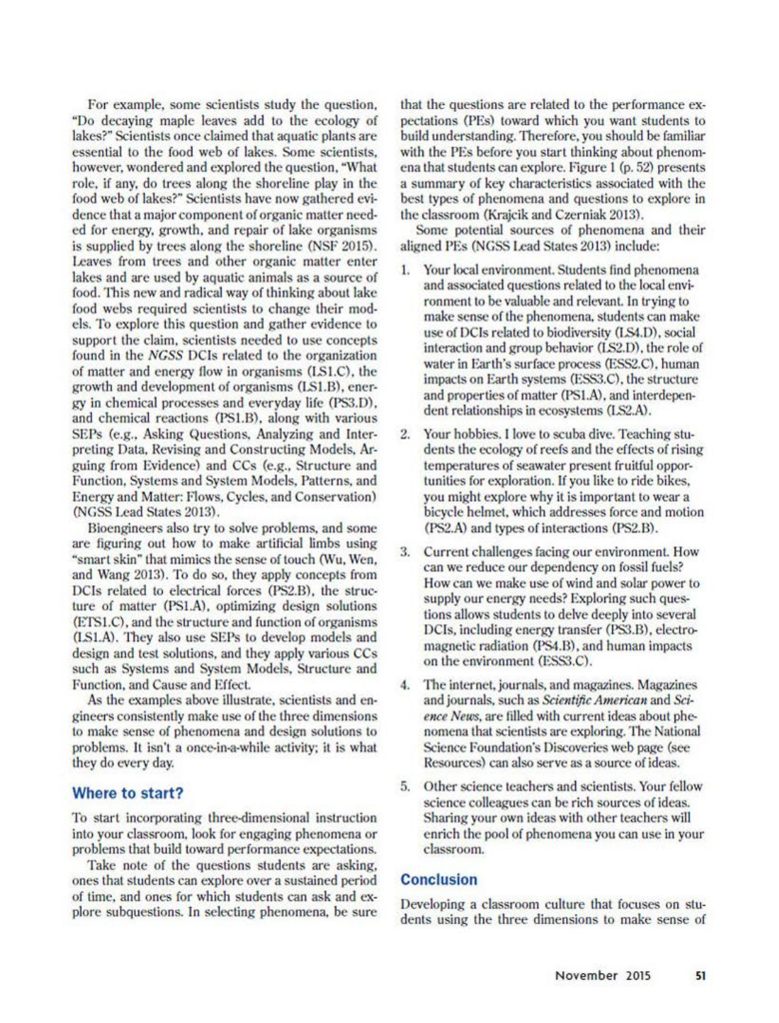For example, some scientists study the question, "Do decaying maple leaves add to the ecology of lakes?" Scientists once claimed that aquatic plants are essential to lhe food web of lakes. Some scientists. however, wondered and explored the question, "What role. if any. do trees along the shoreline play in the food web of lakes?" Scientists have now gathered evidence that a major component of organic matter needed for energy, growth, and repair of lake organisms is supplied by trees along the shoreline (NSF 2015). Leaves from trees and other organic mailer enter lakes and arc used by aquatic animals as a source of food. This new and radical way of thinking about lake food webs required scientists to change their models. To explore this question and gather evidence lo support the claim. scientists needed to use concepts found in the *NGSS* DCIs related to the organization of matter and energy flow in organisms (LS1.C), the growth and development of organisms (I.Sl.13). ener• gy in chemical processes and everyday life (PS3.D). and chemical reactions (PSl.13). along with various SEPs (e.g., Asking Questions, Analyzing and Interpreting Data, Revising and Constructing Models, Arguing from Evidence) and CCs (e.g.. Structure and Function, Systems and System Models. Pallerns. and Energy and Maller: Flows. Cycles. and Conservation) (NGSS Lead States 2013).

Bioengineers also try to solve problems. and some are figuring out how to make artificial limbs using ·smart skin" that mimics the sense of touch (\Vu. \Ven. and 'Nang 2013). To do so. they apply concepts from DCls related to electrical forces (PS2.B). the struc• ture of matter (PSI.A), optimizing design solutions (ETS1.C), and the structure and function of organisms (LS I.A). They also use SEPs to develop models and design and test solutions, and they apply various CCs such as Systems and System Models. Structure and Function, and Cause and Effect.

As the examples above illustrate, scientists and engineers consistently make use of the three dimensions to make sense of phenomena and design solutions 10 problems. 11 isn'I a once-in-a-while activity; it is what they do every day.

#### **Where to start?**

To start incorporating three-dimensional instruction into your classroom. look for engaging phenomena or problems that build toward performance expectations.

Take note of the questions students are asking. ones that students can explore over a sustained period of time, and ones for which students can ask and explore subquestions. In selecting phenomena, be sure that the questions are related to the performance expectations (PEs) loward which you wanl students lo build understanding. Therefore, you should be familiar with the PEs before you start thinking about phenomena that students can explore. Figure I (p. 52) presents a summary of key characteristics associated with the best types of phenomena and questions to explore in the classroom (Krajcik and Czerniak 2013).

Some potential sources of phenomena and their aligned PEs (NGSS Lead States 2013) include:

- I. Your local environment. Students find phenomena and associated questions related to the local environment to be valuable and relevant. In trying to make sense of the phenomena, students can make use of DCls related io biodiversity (LS4.D). social interaction and group behavior (LS2. D), the role of water in Earth's surface process (ESS2.C), human impacts on Earth systems (ESS3.C), the structure and properties of matter (PS1.A), and interdependent relationships in ecosystems (LS2.A).
- 2. Your hobbies. I love to scuba dive. Teaching students the ecology of reefs and the effects of rising lemperalures of seawater present fruilful opportunities for exploration. If you like to ride bikes, you might explore why it is important to wear a bicycle helmet. which addresses force and motion (PS2.A) and types or interactions (PS2.B).
- 3. Current challenges facing our environment. How can we reduce our dependency on fossil fuels? How can we make use of wind and solar power to supply our energy needs? Exploring such questions allows students to delve deeply into several DCIs, including energy transfer (PS3.B), electromagnetic radiation (PS4.B), and human impacts on the environment (ESS3.C).
- 4. The internet. journals. and magazines. Magazines and journals, such as *Scientific American* and *Science News*, are filled with current ideas about phenomena Ihat scientists are exploring. The National Science Foundation's Discoveries web page (see Resources) can also serve as a source of ideas.
- 5. Other science teachers and scientists. Your fellow science colleagues can be rich sources of ideas. Sharing your own ideas with other teachers will enrich the pool of phenomena you can use in your classroom.

#### **Conclusion**

Developing a classroom culture that focuses on sludents using the three dimensions to make sense of